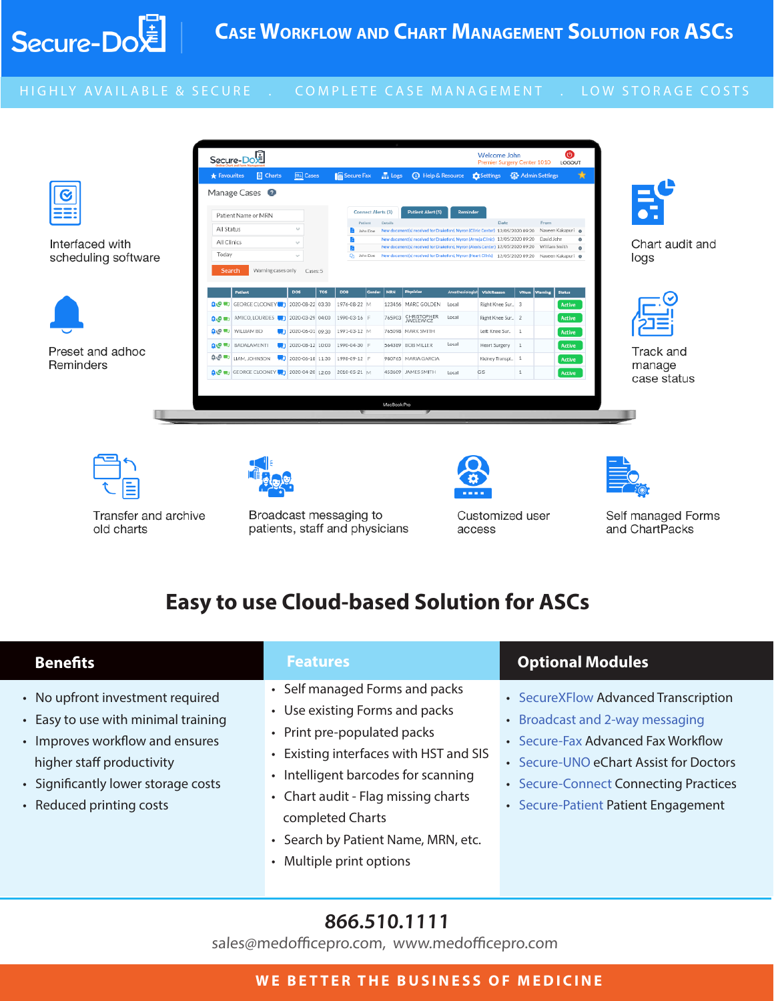

#### HIGHLY AVAILABLE & SECURE . COMPLETE CASE MANAGEMENT . LOW STORAGE COSTS





Transfer and archive old charts



Broadcast messaging to patients, staff and physicians



Customized user access



Self managed Forms and ChartPacks

# **Easy to use Cloud-based Solution for ASCs**

#### • No upfront investment required • Easy to use with minimal training • Improves workflow and ensures higher staff productivity • Significantly lower storage costs • Reduced printing costs • Self managed Forms and packs • Use existing Forms and packs • Print pre-populated packs • Existing interfaces with HST and SIS • Intelligent barcodes for scanning • Chart audit - Flag missing charts completed Charts • Search by Patient Name, MRN, etc. • Multiple print options • SecureXFlow Advanced Transcription • Broadcast and 2-way messaging • Secure-Fax Advanced Fax Workflow • Secure-UNO eChart Assist for Doctors • Secure-Connect Connecting Practices • Secure-Patient Patient Engagement **Benefits Features Optional Modules**

# **866.510.1111**

 $s$ docamodofficenzo com unuu modofficenzo com sales@medofficepro.com, www.medofficepro.com

#### **WE BETTER THE BUSINESS OF MEDICINE**